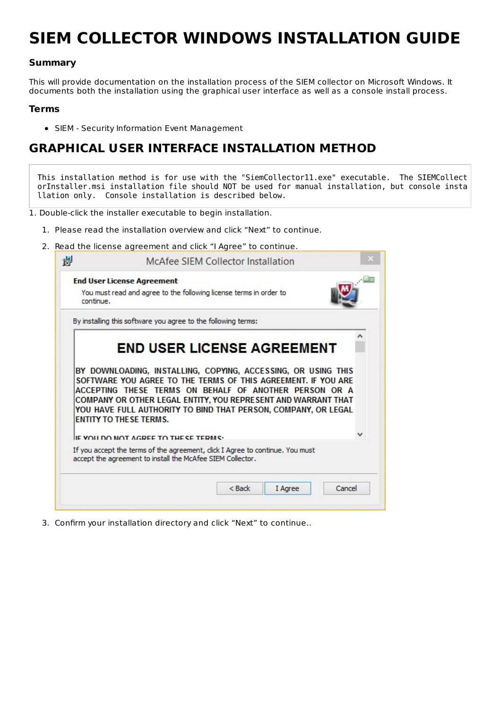# **SIEM COLLECTOR WINDOWS INSTALLATION GUIDE**

#### **Summary**

This will provide documentation on the installation process of the SIEM collector on Microsoft Windows. It documents both the installation using the graphical user interface as well as a console install process.

#### **Terms**

SIEM - Security Information Event Management

#### **GRAPHICAL USER INTERFACE INSTALLATION METHOD**

This installation method is for use with the "SiemCollector11.exe" executable. The SIEMCollect orInstaller.msi installation file should NOT be used for manual installation, but console insta llation only. Console installation is described below.

1. Double-click the installer executable to begin installation.

- 1. Please read the installation overview and click "Next" to continue.
- 2. Read the license agreement and click "I Agree" to continue.

| continue. | <b>End User License Agreement</b><br>You must read and agree to the following license terms in order to                                                                                                                                                                                                                                     |                                                               |  |
|-----------|---------------------------------------------------------------------------------------------------------------------------------------------------------------------------------------------------------------------------------------------------------------------------------------------------------------------------------------------|---------------------------------------------------------------|--|
|           | By installing this software you agree to the following terms:                                                                                                                                                                                                                                                                               |                                                               |  |
|           | <b>END USER LICENSE AGREEMENT</b>                                                                                                                                                                                                                                                                                                           |                                                               |  |
|           |                                                                                                                                                                                                                                                                                                                                             |                                                               |  |
|           | SOFTWARE YOU AGREE TO THE TERMS OF THIS AGREEMENT. IF YOU ARE<br>ACCEPTING THESE TERMS ON BEHALF OF ANOTHER PERSON OR A<br>COMPANY OR OTHER LEGAL ENTITY, YOU REPRESENT AND WARRANT THAT<br>YOU HAVE FULL AUTHORITY TO BIND THAT PERSON, COMPANY, OR LEGAL<br><b>ENTITY TO THESE TERMS.</b><br><b>IE VOILDO NOT AGREE TO THE CE TERM C.</b> | BY DOWNLOADING, INSTALLING, COPYING, ACCESSING, OR USING THIS |  |
|           | If you accept the terms of the agreement, click I Agree to continue. You must<br>accept the agreement to install the McAfee SIEM Collector.                                                                                                                                                                                                 |                                                               |  |

3. Confirm your installation directory and click "Next" to continue..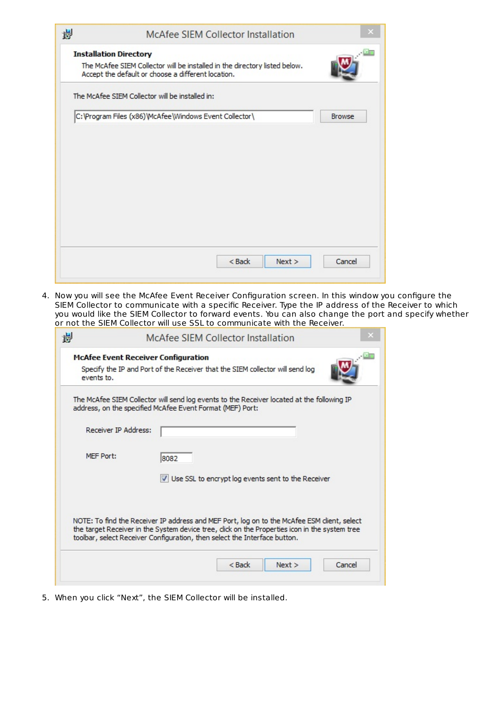|                                                                                                                                  | <b>Installation Directory</b> |               |  |  |
|----------------------------------------------------------------------------------------------------------------------------------|-------------------------------|---------------|--|--|
| The McAfee SIEM Collector will be installed in the directory listed below.<br>Accept the default or choose a different location. |                               |               |  |  |
| The McAfee SIEM Collector will be installed in:                                                                                  |                               |               |  |  |
| C: \Program Files (x86) \McAfee\Windows Event Collector\                                                                         |                               | <b>Browse</b> |  |  |
|                                                                                                                                  |                               |               |  |  |
|                                                                                                                                  |                               |               |  |  |
|                                                                                                                                  |                               |               |  |  |
|                                                                                                                                  |                               |               |  |  |
|                                                                                                                                  |                               |               |  |  |
|                                                                                                                                  |                               |               |  |  |
|                                                                                                                                  |                               |               |  |  |
|                                                                                                                                  |                               |               |  |  |
|                                                                                                                                  |                               |               |  |  |

4. Now you will see the McAfee Event Receiver Configuration screen. In this window you configure the SIEM Collector to communicate with a specific Receiver. Type the IP address of the Receiver to which you would like the SIEM Collector to forward events. You can also change the port and specify whether or not the SIEM Collector will use SSL to communicate with the Receiver.

|                             | <b>McAfee Event Receiver Configuration</b>                                                                                                                                                                                                                                |
|-----------------------------|---------------------------------------------------------------------------------------------------------------------------------------------------------------------------------------------------------------------------------------------------------------------------|
| events to.                  | Specify the IP and Port of the Receiver that the SIEM collector will send log                                                                                                                                                                                             |
|                             | The McAfee SIEM Collector will send log events to the Receiver located at the following IP<br>address, on the specified McAfee Event Format (MEF) Port:                                                                                                                   |
| <b>Receiver IP Address:</b> |                                                                                                                                                                                                                                                                           |
| MFF Port:                   | 8082                                                                                                                                                                                                                                                                      |
|                             | Use SSL to encrypt log events sent to the Receiver                                                                                                                                                                                                                        |
|                             | NOTE: To find the Receiver IP address and MEF Port, log on to the McAfee ESM client, select<br>the target Receiver in the System device tree, dick on the Properties icon in the system tree<br>toolbar, select Receiver Configuration, then select the Interface button. |
|                             |                                                                                                                                                                                                                                                                           |

5. When you click "Next", the SIEM Collector will be installed.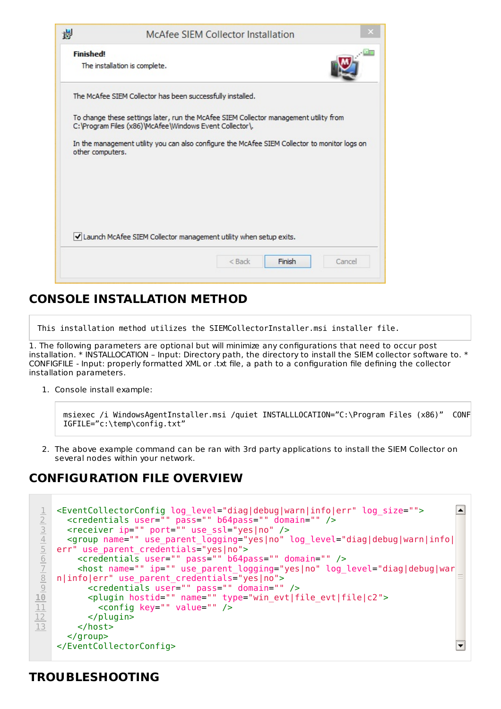|                  | The installation is complete.                              |                                                                                               |                                                                     |
|------------------|------------------------------------------------------------|-----------------------------------------------------------------------------------------------|---------------------------------------------------------------------|
|                  | The McAfee SIEM Collector has been successfully installed. |                                                                                               |                                                                     |
|                  | C:\Program Files (x86)\McAfee\Windows Event Collector\.    | To change these settings later, run the McAfee SIEM Collector management utility from         |                                                                     |
| other computers. |                                                            | In the management utility you can also configure the McAfee SIEM Collector to monitor logs on |                                                                     |
|                  |                                                            |                                                                                               |                                                                     |
|                  |                                                            |                                                                                               |                                                                     |
|                  |                                                            |                                                                                               |                                                                     |
|                  |                                                            |                                                                                               | I Launch McAfee SIEM Collector management utility when setup exits. |

### **CONSOLE INSTALLATION METHOD**

This installation method utilizes the SIEMCollectorInstaller.msi installer file.

1. The following parameters are optional but will minimize any configurations that need to occur post installation. \* INSTALLOCATION – Input: Directory path, the directory to install the SIEM collector software to. \* CONFIGFILE - Input: properly formatted XML or .txt file, a path to a configuration file defining the collector installation parameters.

1. Console install example:

```
msiexec /i WindowsAgentInstaller.msi /quiet INSTALLLOCATION="C:\Program Files (x86)" CONF
IGFILE="c:\temp\config.txt"
```
2. The above example command can be ran with 3rd party applications to install the SIEM Collector on several nodes within your network.

#### **CONFIGURATION FILE OVERVIEW**

```
<EventCollectorConfig log_level="diag|debug|warn|info|err" log_size="">
                                                                                         \blacktriangle\overline{\perp}<credentials user="" pass="" b64pass="" domain="" />
 2
      <receiver ip="" port="" use_ssl="yes|no" />
 3
      <group name="" use_parent_logging="yes|no" log_level="diag|debug|warn|info|
 4
 5
    err" use parent credentials="yes|no">
        <credentials user="" pass="" b64pass="" domain="" />
 6
        <host name="" ip="" use_parent_logging="yes|no" log_level="diag|debug|war
 7
    n|info|err" use_parent_credentials="yes|no">
 8
           <credentials user="" pass="" domain="" />
 9
           <plugin hostid="" name="" type="win_evt|file_evt|file|c2">
10
             <config key="" value="" />
11
12
           </plugin>
13
        </host>
      </group>
    </EventCollectorConfig>
                                                                                         \blacktriangledown
```
#### **TROUBLESHOOTING**